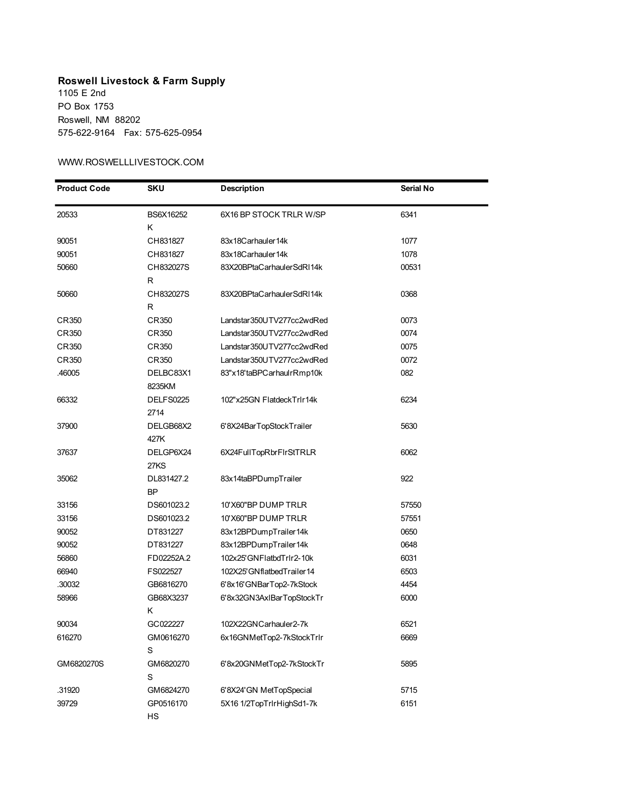## **Roswell Livestock & Farm Supply** 1105 E 2nd

PO Box 1753 Roswell, NM 88202 575-622-9164 Fax: 575-625-0954

## WWW.ROSWELLLIVESTOCK.COM

| <b>Product Code</b> | <b>SKU</b>       | <b>Description</b>        | Serial No |
|---------------------|------------------|---------------------------|-----------|
| 20533               | BS6X16252        | 6X16 BP STOCK TRLR W/SP   | 6341      |
|                     | Κ                |                           |           |
| 90051               | CH831827         | 83x18Carhauler14k         | 1077      |
| 90051               | CH831827         | 83x18Carhauler14k         | 1078      |
| 50660               | CH832027S        | 83X20BPtaCarhaulerSdRI14k | 00531     |
|                     | R                |                           |           |
| 50660               | CH832027S        | 83X20BPtaCarhaulerSdRI14k | 0368      |
|                     | R                |                           |           |
| CR350               | CR350            | Landstar350UTV277cc2wdRed | 0073      |
| CR350               | CR350            | Landstar350UTV277cc2wdRed | 0074      |
| CR350               | CR350            | Landstar350UTV277cc2wdRed | 0075      |
| CR350               | CR350            | Landstar350UTV277cc2wdRed | 0072      |
| .46005              | DELBC83X1        | 83"x18'taBPCarhaulrRmp10k | 082       |
|                     | 8235KM           |                           |           |
| 66332               | <b>DELFS0225</b> | 102"x25GN FlatdeckTrlr14k | 6234      |
|                     | 2714             |                           |           |
| 37900               | DELGB68X2        | 6'8X24BarTopStockTrailer  | 5630      |
|                     | 427K             |                           |           |
| 37637               | DELGP6X24        | 6X24FullTopRbrFlrStTRLR   | 6062      |
|                     | 27KS             |                           |           |
| 35062               | DL831427.2       | 83x14taBPDumpTrailer      | 922       |
|                     | BΡ               |                           |           |
| 33156               | DS601023.2       | 10'X60"BP DUMP TRLR       | 57550     |
| 33156               | DS601023.2       | 10'X60"BP DUMP TRLR       | 57551     |
| 90052               | DT831227         | 83x12BPDumpTrailer14k     | 0650      |
| 90052               | DT831227         | 83x12BPDumpTrailer14k     | 0648      |
| 56860               | FD02252A.2       | 102x25'GNFlatbdTrlr2-10k  | 6031      |
| 66940               | FS022527         | 102X25'GNflatbedTrailer14 | 6503      |
| .30032              | GB6816270        | 6'8x16'GNBarTop2-7kStock  | 4454      |
| 58966               | GB68X3237        | 6'8x32GN3AxIBarTopStockTr | 6000      |
|                     | κ                |                           |           |
| 90034               | GC022227         | 102X22GNCarhauler2-7k     | 6521      |
| 616270              | GM0616270        | 6x16GNMetTop2-7kStockTrlr | 6669      |
|                     | S                |                           |           |
| GM6820270S          | GM6820270        | 6'8x20GNMetTop2-7kStockTr | 5895      |
|                     | S                |                           |           |
| .31920              | GM6824270        | 6'8X24'GN MetTopSpecial   | 5715      |
| 39729               | GP0516170        | 5X16 1/2TopTrlrHighSd1-7k | 6151      |
|                     | HS               |                           |           |